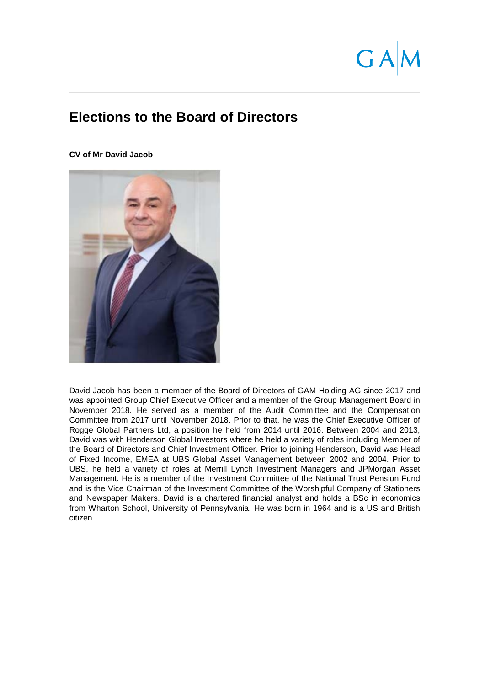# **Elections to the Board of Directors**

**CV of Mr David Jacob** 



David Jacob has been a member of the Board of Directors of GAM Holding AG since 2017 and was appointed Group Chief Executive Officer and a member of the Group Management Board in November 2018. He served as a member of the Audit Committee and the Compensation Committee from 2017 until November 2018. Prior to that, he was the Chief Executive Officer of Rogge Global Partners Ltd, a position he held from 2014 until 2016. Between 2004 and 2013, David was with Henderson Global Investors where he held a variety of roles including Member of the Board of Directors and Chief Investment Officer. Prior to joining Henderson, David was Head of Fixed Income, EMEA at UBS Global Asset Management between 2002 and 2004. Prior to UBS, he held a variety of roles at Merrill Lynch Investment Managers and JPMorgan Asset Management. He is a member of the Investment Committee of the National Trust Pension Fund and is the Vice Chairman of the Investment Committee of the Worshipful Company of Stationers and Newspaper Makers. David is a chartered financial analyst and holds a BSc in economics from Wharton School, University of Pennsylvania. He was born in 1964 and is a US and British citizen.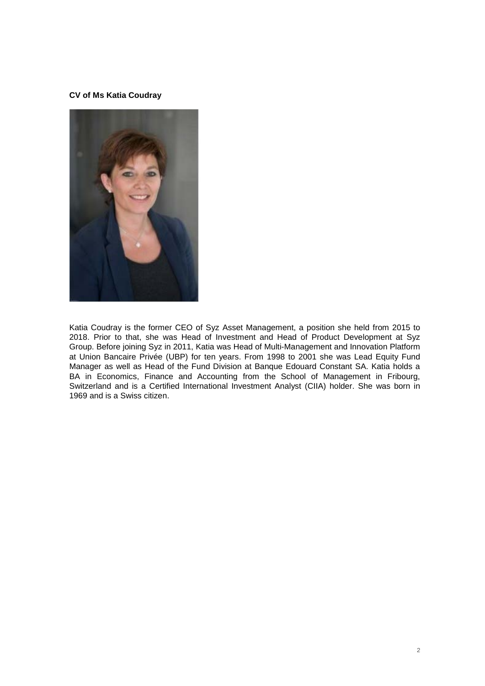# **CV of Ms Katia Coudray**



Katia Coudray is the former CEO of Syz Asset Management, a position she held from 2015 to 2018. Prior to that, she was Head of Investment and Head of Product Development at Syz Group. Before joining Syz in 2011, Katia was Head of Multi-Management and Innovation Platform at Union Bancaire Privée (UBP) for ten years. From 1998 to 2001 she was Lead Equity Fund Manager as well as Head of the Fund Division at Banque Edouard Constant SA. Katia holds a BA in Economics, Finance and Accounting from the School of Management in Fribourg, Switzerland and is a Certified International Investment Analyst (CIIA) holder. She was born in 1969 and is a Swiss citizen.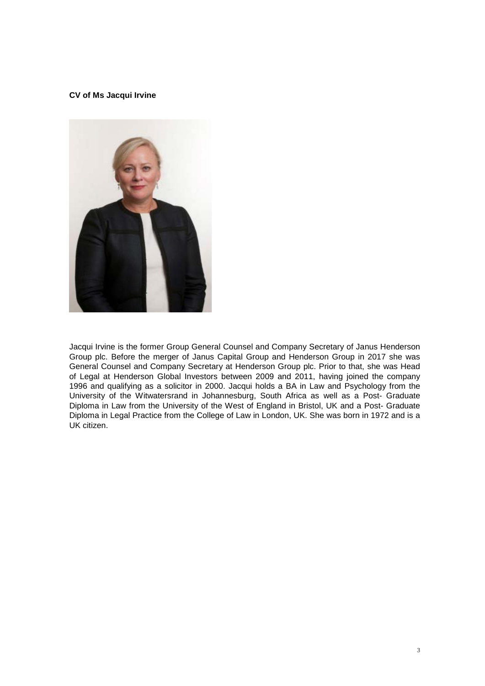# **CV of Ms Jacqui Irvine**



Jacqui Irvine is the former Group General Counsel and Company Secretary of Janus Henderson Group plc. Before the merger of Janus Capital Group and Henderson Group in 2017 she was General Counsel and Company Secretary at Henderson Group plc. Prior to that, she was Head of Legal at Henderson Global Investors between 2009 and 2011, having joined the company 1996 and qualifying as a solicitor in 2000. Jacqui holds a BA in Law and Psychology from the University of the Witwatersrand in Johannesburg, South Africa as well as a Post- Graduate Diploma in Law from the University of the West of England in Bristol, UK and a Post- Graduate Diploma in Legal Practice from the College of Law in London, UK. She was born in 1972 and is a UK citizen.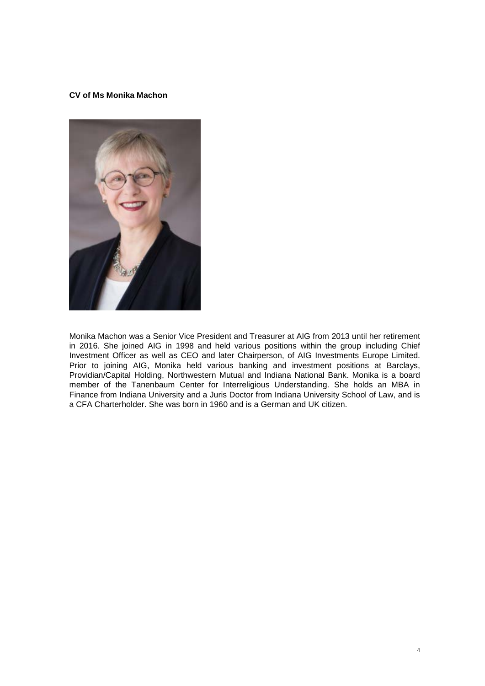# **CV of Ms Monika Machon**



Monika Machon was a Senior Vice President and Treasurer at AIG from 2013 until her retirement in 2016. She joined AIG in 1998 and held various positions within the group including Chief Investment Officer as well as CEO and later Chairperson, of AIG Investments Europe Limited. Prior to joining AIG, Monika held various banking and investment positions at Barclays, Providian/Capital Holding, Northwestern Mutual and Indiana National Bank. Monika is a board member of the Tanenbaum Center for Interreligious Understanding. She holds an MBA in Finance from Indiana University and a Juris Doctor from Indiana University School of Law, and is a CFA Charterholder. She was born in 1960 and is a German and UK citizen.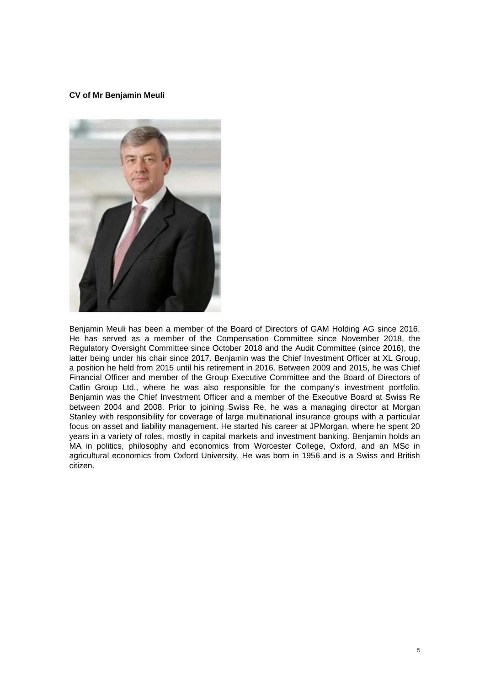#### **CV of Mr Benjamin Meuli**



Benjamin Meuli has been a member of the Board of Directors of GAM Holding AG since 2016. He has served as a member of the Compensation Committee since November 2018, the Regulatory Oversight Committee since October 2018 and the Audit Committee (since 2016), the latter being under his chair since 2017. Benjamin was the Chief Investment Officer at XL Group, a position he held from 2015 until his retirement in 2016. Between 2009 and 2015, he was Chief Financial Officer and member of the Group Executive Committee and the Board of Directors of Catlin Group Ltd., where he was also responsible for the company's investment portfolio. Benjamin was the Chief Investment Officer and a member of the Executive Board at Swiss Re between 2004 and 2008. Prior to joining Swiss Re, he was a managing director at Morgan Stanley with responsibility for coverage of large multinational insurance groups with a particular focus on asset and liability management. He started his career at JPMorgan, where he spent 20 years in a variety of roles, mostly in capital markets and investment banking. Benjamin holds an MA in politics, philosophy and economics from Worcester College, Oxford, and an MSc in agricultural economics from Oxford University. He was born in 1956 and is a Swiss and British citizen.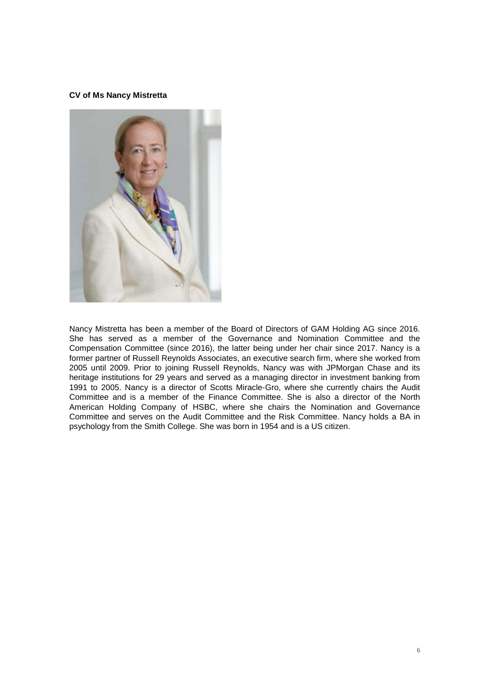#### **CV of Ms Nancy Mistretta**



Nancy Mistretta has been a member of the Board of Directors of GAM Holding AG since 2016. She has served as a member of the Governance and Nomination Committee and the Compensation Committee (since 2016), the latter being under her chair since 2017. Nancy is a former partner of Russell Reynolds Associates, an executive search firm, where she worked from 2005 until 2009. Prior to joining Russell Reynolds, Nancy was with JPMorgan Chase and its heritage institutions for 29 years and served as a managing director in investment banking from 1991 to 2005. Nancy is a director of Scotts Miracle-Gro, where she currently chairs the Audit Committee and is a member of the Finance Committee. She is also a director of the North American Holding Company of HSBC, where she chairs the Nomination and Governance Committee and serves on the Audit Committee and the Risk Committee. Nancy holds a BA in psychology from the Smith College. She was born in 1954 and is a US citizen.